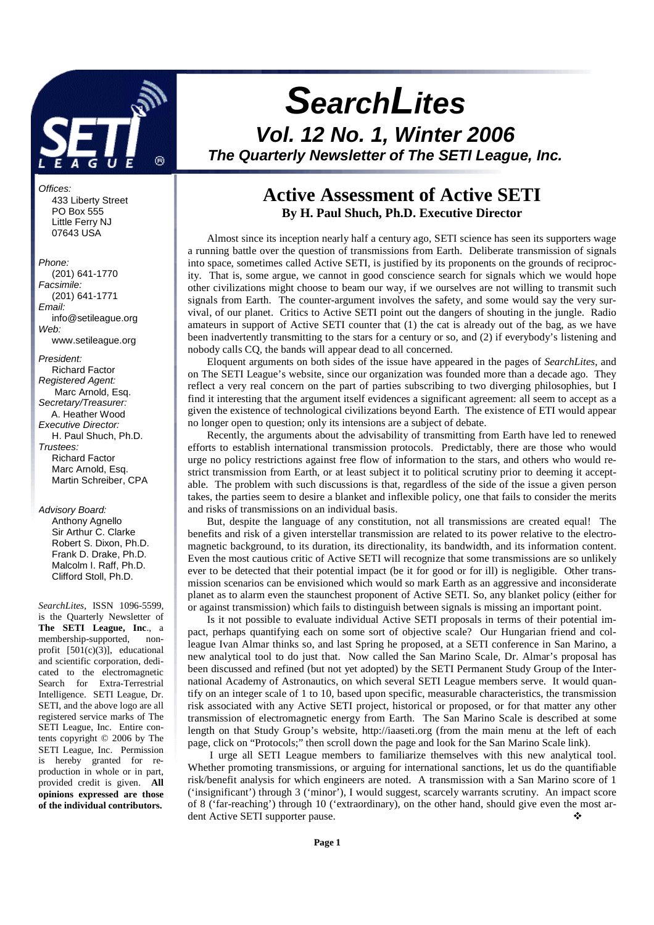

Offices: 433 Liberty Street PO Box 555 Little Ferry NJ 07643 USA

#### Phone:

 (201) 641-1770 Facsimile: (201) 641-1771 Email: info@setileague.org Web: www.setileague.org President: Richard Factor Registered Agent: Marc Arnold, Esq. Secretary/Treasurer: A. Heather Wood Executive Director: H. Paul Shuch, Ph.D. Trustees: Richard Factor Marc Arnold, Esq. Martin Schreiber, CPA

#### Advisory Board:

 Anthony Agnello Sir Arthur C. Clarke Robert S. Dixon, Ph.D. Frank D. Drake, Ph.D. Malcolm I. Raff, Ph.D. Clifford Stoll, Ph.D.

*SearchLites*, ISSN 1096-5599, is the Quarterly Newsletter of **The SETI League, Inc**., a membership-supported, nonprofit  $[501(c)(3)]$ , educational and scientific corporation, dedicated to the electromagnetic Search for Extra-Terrestrial Intelligence. SETI League, Dr. SETI, and the above logo are all registered service marks of The SETI League, Inc. Entire contents copyright © 2006 by The SETI League, Inc. Permission is hereby granted for reproduction in whole or in part, provided credit is given. **All opinions expressed are those of the individual contributors.** 

# **SearchLites Vol. 12 No. 1, Winter 2006**

**The Quarterly Newsletter of The SETI League, Inc.** 

## **Active Assessment of Active SETI By H. Paul Shuch, Ph.D. Executive Director**

 Almost since its inception nearly half a century ago, SETI science has seen its supporters wage a running battle over the question of transmissions from Earth. Deliberate transmission of signals into space, sometimes called Active SETI, is justified by its proponents on the grounds of reciprocity. That is, some argue, we cannot in good conscience search for signals which we would hope other civilizations might choose to beam our way, if we ourselves are not willing to transmit such signals from Earth. The counter-argument involves the safety, and some would say the very survival, of our planet. Critics to Active SETI point out the dangers of shouting in the jungle. Radio amateurs in support of Active SETI counter that (1) the cat is already out of the bag, as we have been inadvertently transmitting to the stars for a century or so, and (2) if everybody's listening and nobody calls CQ, the bands will appear dead to all concerned.

Eloquent arguments on both sides of the issue have appeared in the pages of *SearchLites*, and on The SETI League's website, since our organization was founded more than a decade ago. They reflect a very real concern on the part of parties subscribing to two diverging philosophies, but I find it interesting that the argument itself evidences a significant agreement: all seem to accept as a given the existence of technological civilizations beyond Earth. The existence of ETI would appear no longer open to question; only its intensions are a subject of debate.

Recently, the arguments about the advisability of transmitting from Earth have led to renewed efforts to establish international transmission protocols. Predictably, there are those who would urge no policy restrictions against free flow of information to the stars, and others who would restrict transmission from Earth, or at least subject it to political scrutiny prior to deeming it acceptable. The problem with such discussions is that, regardless of the side of the issue a given person takes, the parties seem to desire a blanket and inflexible policy, one that fails to consider the merits and risks of transmissions on an individual basis.

But, despite the language of any constitution, not all transmissions are created equal! The benefits and risk of a given interstellar transmission are related to its power relative to the electromagnetic background, to its duration, its directionality, its bandwidth, and its information content. Even the most cautious critic of Active SETI will recognize that some transmissions are so unlikely ever to be detected that their potential impact (be it for good or for ill) is negligible. Other transmission scenarios can be envisioned which would so mark Earth as an aggressive and inconsiderate planet as to alarm even the staunchest proponent of Active SETI. So, any blanket policy (either for or against transmission) which fails to distinguish between signals is missing an important point.

Is it not possible to evaluate individual Active SETI proposals in terms of their potential impact, perhaps quantifying each on some sort of objective scale? Our Hungarian friend and colleague Ivan Almar thinks so, and last Spring he proposed, at a SETI conference in San Marino, a new analytical tool to do just that. Now called the San Marino Scale, Dr. Almar's proposal has been discussed and refined (but not yet adopted) by the SETI Permanent Study Group of the International Academy of Astronautics, on which several SETI League members serve. It would quantify on an integer scale of 1 to 10, based upon specific, measurable characteristics, the transmission risk associated with any Active SETI project, historical or proposed, or for that matter any other transmission of electromagnetic energy from Earth. The San Marino Scale is described at some length on that Study Group's website, http://iaaseti.org (from the main menu at the left of each page, click on "Protocols;" then scroll down the page and look for the San Marino Scale link).

 I urge all SETI League members to familiarize themselves with this new analytical tool. Whether promoting transmissions, or arguing for international sanctions, let us do the quantifiable risk/benefit analysis for which engineers are noted. A transmission with a San Marino score of 1 ('insignificant') through 3 ('minor'), I would suggest, scarcely warrants scrutiny. An impact score of 8 ('far-reaching') through 10 ('extraordinary), on the other hand, should give even the most ardent Active SETI supporter pause.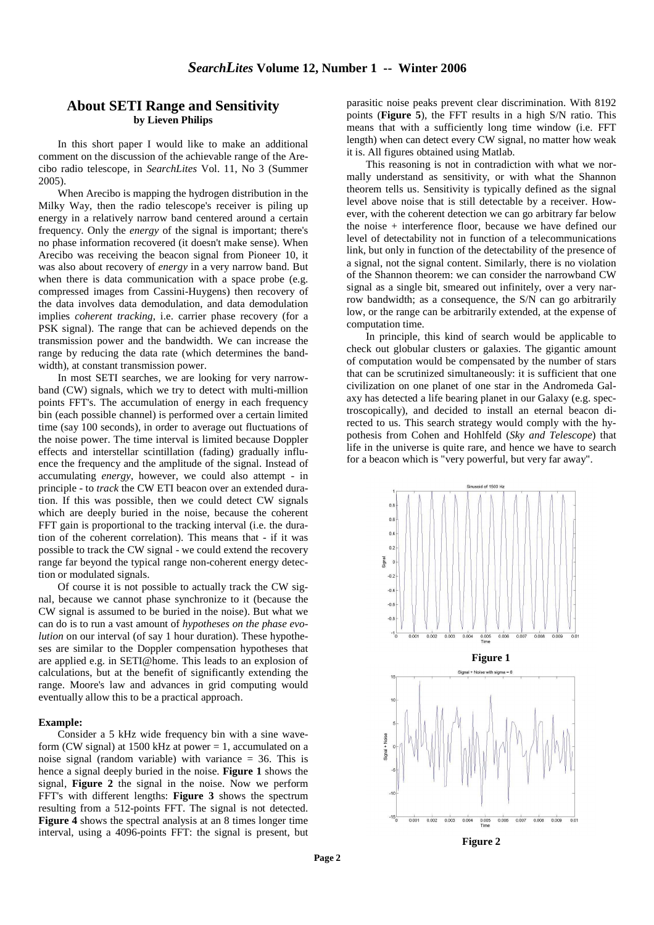### **About SETI Range and Sensitivity by Lieven Philips**

In this short paper I would like to make an additional comment on the discussion of the achievable range of the Arecibo radio telescope, in *SearchLites* Vol. 11, No 3 (Summer 2005).

When Arecibo is mapping the hydrogen distribution in the Milky Way, then the radio telescope's receiver is piling up energy in a relatively narrow band centered around a certain frequency. Only the *energy* of the signal is important; there's no phase information recovered (it doesn't make sense). When Arecibo was receiving the beacon signal from Pioneer 10, it was also about recovery of *energy* in a very narrow band. But when there is data communication with a space probe (e.g. compressed images from Cassini-Huygens) then recovery of the data involves data demodulation, and data demodulation implies *coherent tracking*, i.e. carrier phase recovery (for a PSK signal). The range that can be achieved depends on the transmission power and the bandwidth. We can increase the range by reducing the data rate (which determines the bandwidth), at constant transmission power.

In most SETI searches, we are looking for very narrowband (CW) signals, which we try to detect with multi-million points FFT's. The accumulation of energy in each frequency bin (each possible channel) is performed over a certain limited time (say 100 seconds), in order to average out fluctuations of the noise power. The time interval is limited because Doppler effects and interstellar scintillation (fading) gradually influence the frequency and the amplitude of the signal. Instead of accumulating *energy*, however, we could also attempt - in principle - to *track* the CW ETI beacon over an extended duration. If this was possible, then we could detect CW signals which are deeply buried in the noise, because the coherent FFT gain is proportional to the tracking interval (i.e. the duration of the coherent correlation). This means that - if it was possible to track the CW signal - we could extend the recovery range far beyond the typical range non-coherent energy detection or modulated signals.

Of course it is not possible to actually track the CW signal, because we cannot phase synchronize to it (because the CW signal is assumed to be buried in the noise). But what we can do is to run a vast amount of *hypotheses on the phase evolution* on our interval (of say 1 hour duration). These hypotheses are similar to the Doppler compensation hypotheses that are applied e.g. in SETI@home. This leads to an explosion of calculations, but at the benefit of significantly extending the range. Moore's law and advances in grid computing would eventually allow this to be a practical approach.

### **Example:**

Consider a 5 kHz wide frequency bin with a sine waveform (CW signal) at 1500 kHz at power  $= 1$ , accumulated on a noise signal (random variable) with variance = 36. This is hence a signal deeply buried in the noise. **Figure 1** shows the signal, **Figure 2** the signal in the noise. Now we perform FFT's with different lengths: **Figure 3** shows the spectrum resulting from a 512-points FFT. The signal is not detected. **Figure 4** shows the spectral analysis at an 8 times longer time interval, using a 4096-points FFT: the signal is present, but parasitic noise peaks prevent clear discrimination. With 8192 points (**Figure 5**), the FFT results in a high S/N ratio. This means that with a sufficiently long time window (i.e. FFT length) when can detect every CW signal, no matter how weak it is. All figures obtained using Matlab.

This reasoning is not in contradiction with what we normally understand as sensitivity, or with what the Shannon theorem tells us. Sensitivity is typically defined as the signal level above noise that is still detectable by a receiver. However, with the coherent detection we can go arbitrary far below the noise + interference floor, because we have defined our level of detectability not in function of a telecommunications link, but only in function of the detectability of the presence of a signal, not the signal content. Similarly, there is no violation of the Shannon theorem: we can consider the narrowband CW signal as a single bit, smeared out infinitely, over a very narrow bandwidth; as a consequence, the S/N can go arbitrarily low, or the range can be arbitrarily extended, at the expense of computation time.

In principle, this kind of search would be applicable to check out globular clusters or galaxies. The gigantic amount of computation would be compensated by the number of stars that can be scrutinized simultaneously: it is sufficient that one civilization on one planet of one star in the Andromeda Galaxy has detected a life bearing planet in our Galaxy (e.g. spectroscopically), and decided to install an eternal beacon directed to us. This search strategy would comply with the hypothesis from Cohen and Hohlfeld (*Sky and Telescope*) that life in the universe is quite rare, and hence we have to search for a beacon which is "very powerful, but very far away".

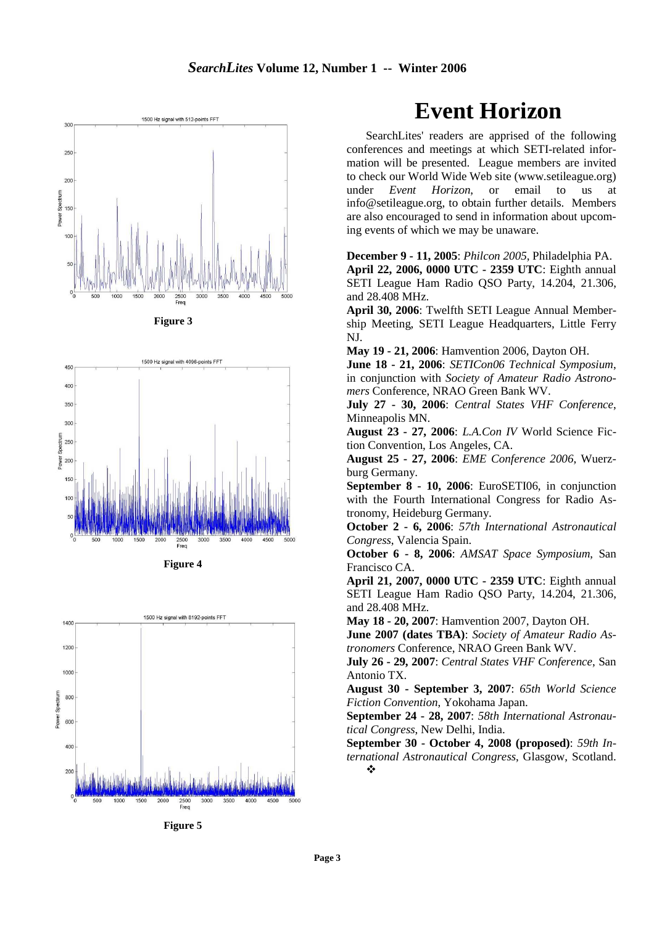

**Figure 3** 



**Figure 4** 



**Figure 5** 

## **Event Horizon**

SearchLites' readers are apprised of the following conferences and meetings at which SETI-related information will be presented. League members are invited to check our World Wide Web site (www.setileague.org) under *Event Horizon*, or email to us at info@setileague.org, to obtain further details. Members are also encouraged to send in information about upcoming events of which we may be unaware.

**December 9 - 11, 2005**: *Philcon 2005*, Philadelphia PA. **April 22, 2006, 0000 UTC - 2359 UTC**: Eighth annual SETI League Ham Radio QSO Party, 14.204, 21.306, and 28.408 MHz.

**April 30, 2006**: Twelfth SETI League Annual Membership Meeting, SETI League Headquarters, Little Ferry NJ.

**May 19 - 21, 2006**: Hamvention 2006, Dayton OH.

**June 18 - 21, 2006**: *SETICon06 Technical Symposium*, in conjunction with *Society of Amateur Radio Astronomers* Conference, NRAO Green Bank WV.

**July 27 - 30, 2006**: *Central States VHF Conference*, Minneapolis MN.

**August 23 - 27, 2006**: *L.A.Con IV* World Science Fiction Convention, Los Angeles, CA.

**August 25 - 27, 2006**: *EME Conference 2006*, Wuerzburg Germany.

**September 8 - 10, 2006**: EuroSETI06, in conjunction with the Fourth International Congress for Radio Astronomy, Heideburg Germany.

**October 2 - 6, 2006**: *57th International Astronautical Congress*, Valencia Spain.

**October 6 - 8, 2006**: *AMSAT Space Symposium*, San Francisco CA.

**April 21, 2007, 0000 UTC - 2359 UTC**: Eighth annual SETI League Ham Radio QSO Party, 14.204, 21.306, and 28.408 MHz.

**May 18 - 20, 2007**: Hamvention 2007, Dayton OH.

**June 2007 (dates TBA)**: *Society of Amateur Radio Astronomers* Conference, NRAO Green Bank WV.

**July 26 - 29, 2007**: *Central States VHF Conference*, San Antonio TX.

**August 30 - September 3, 2007**: *65th World Science Fiction Convention*, Yokohama Japan.

**September 24 - 28, 2007**: *58th International Astronautical Congress*, New Delhi, India.

**September 30 - October 4, 2008 (proposed)**: *59th International Astronautical Congress*, Glasgow, Scotland.  $\frac{1}{2}$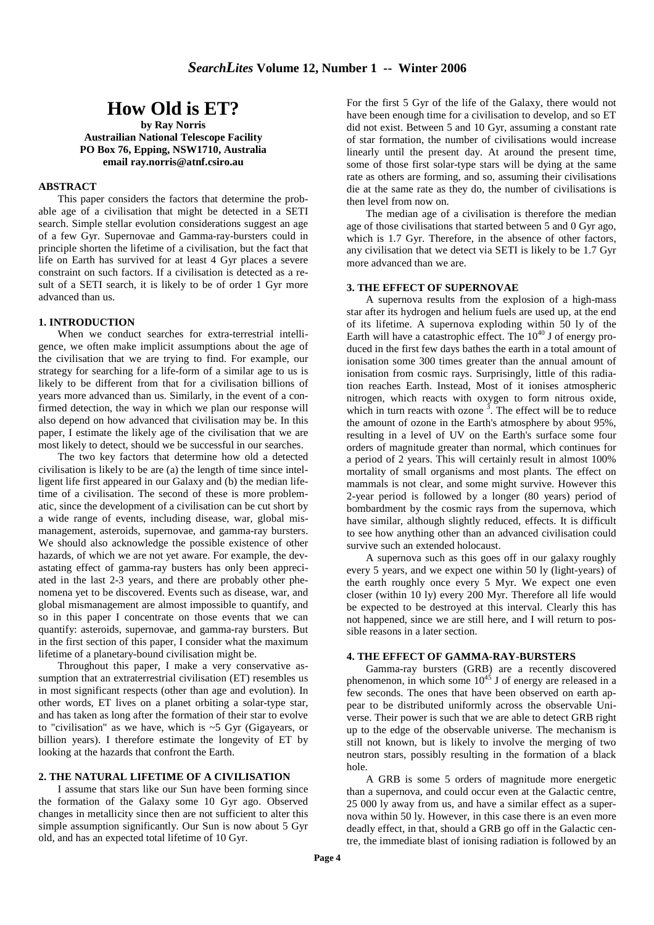## **How Old is ET?**

**by Ray Norris Austrailian National Telescope Facility PO Box 76, Epping, NSW1710, Australia email ray.norris@atnf.csiro.au**

### **ABSTRACT**

This paper considers the factors that determine the probable age of a civilisation that might be detected in a SETI search. Simple stellar evolution considerations suggest an age of a few Gyr. Supernovae and Gamma-ray-bursters could in principle shorten the lifetime of a civilisation, but the fact that life on Earth has survived for at least 4 Gyr places a severe constraint on such factors. If a civilisation is detected as a result of a SETI search, it is likely to be of order 1 Gyr more advanced than us.

### **1. INTRODUCTION**

When we conduct searches for extra-terrestrial intelligence, we often make implicit assumptions about the age of the civilisation that we are trying to find. For example, our strategy for searching for a life-form of a similar age to us is likely to be different from that for a civilisation billions of years more advanced than us. Similarly, in the event of a confirmed detection, the way in which we plan our response will also depend on how advanced that civilisation may be. In this paper, I estimate the likely age of the civilisation that we are most likely to detect, should we be successful in our searches.

The two key factors that determine how old a detected civilisation is likely to be are (a) the length of time since intelligent life first appeared in our Galaxy and (b) the median lifetime of a civilisation. The second of these is more problematic, since the development of a civilisation can be cut short by a wide range of events, including disease, war, global mismanagement, asteroids, supernovae, and gamma-ray bursters. We should also acknowledge the possible existence of other hazards, of which we are not yet aware. For example, the devastating effect of gamma-ray busters has only been appreciated in the last 2-3 years, and there are probably other phenomena yet to be discovered. Events such as disease, war, and global mismanagement are almost impossible to quantify, and so in this paper I concentrate on those events that we can quantify: asteroids, supernovae, and gamma-ray bursters. But in the first section of this paper, I consider what the maximum lifetime of a planetary-bound civilisation might be.

Throughout this paper, I make a very conservative assumption that an extraterrestrial civilisation (ET) resembles us in most significant respects (other than age and evolution). In other words, ET lives on a planet orbiting a solar-type star, and has taken as long after the formation of their star to evolve to "civilisation" as we have, which is ~5 Gyr (Gigayears, or billion years). I therefore estimate the longevity of ET by looking at the hazards that confront the Earth.

### **2. THE NATURAL LIFETIME OF A CIVILISATION**

I assume that stars like our Sun have been forming since the formation of the Galaxy some 10 Gyr ago. Observed changes in metallicity since then are not sufficient to alter this simple assumption significantly. Our Sun is now about 5 Gyr old, and has an expected total lifetime of 10 Gyr.

For the first 5 Gyr of the life of the Galaxy, there would not have been enough time for a civilisation to develop, and so ET did not exist. Between 5 and 10 Gyr, assuming a constant rate of star formation, the number of civilisations would increase linearly until the present day. At around the present time, some of those first solar-type stars will be dying at the same rate as others are forming, and so, assuming their civilisations die at the same rate as they do, the number of civilisations is then level from now on.

The median age of a civilisation is therefore the median age of those civilisations that started between 5 and 0 Gyr ago, which is 1.7 Gyr. Therefore, in the absence of other factors, any civilisation that we detect via SETI is likely to be 1.7 Gyr more advanced than we are.

### **3. THE EFFECT OF SUPERNOVAE**

A supernova results from the explosion of a high-mass star after its hydrogen and helium fuels are used up, at the end of its lifetime. A supernova exploding within 50 ly of the Earth will have a catastrophic effect. The  $10^{40}$  J of energy produced in the first few days bathes the earth in a total amount of ionisation some 300 times greater than the annual amount of ionisation from cosmic rays. Surprisingly, little of this radiation reaches Earth. Instead, Most of it ionises atmospheric nitrogen, which reacts with oxygen to form nitrous oxide, which in turn reacts with ozone<sup>3</sup>. The effect will be to reduce the amount of ozone in the Earth's atmosphere by about 95%, resulting in a level of UV on the Earth's surface some four orders of magnitude greater than normal, which continues for a period of 2 years. This will certainly result in almost 100% mortality of small organisms and most plants. The effect on mammals is not clear, and some might survive. However this 2-year period is followed by a longer (80 years) period of bombardment by the cosmic rays from the supernova, which have similar, although slightly reduced, effects. It is difficult to see how anything other than an advanced civilisation could survive such an extended holocaust.

A supernova such as this goes off in our galaxy roughly every 5 years, and we expect one within 50 ly (light-years) of the earth roughly once every 5 Myr. We expect one even closer (within 10 ly) every 200 Myr. Therefore all life would be expected to be destroyed at this interval. Clearly this has not happened, since we are still here, and I will return to possible reasons in a later section.

### **4. THE EFFECT OF GAMMA-RAY-BURSTERS**

Gamma-ray bursters (GRB) are a recently discovered phenomenon, in which some  $10^{45}$  J of energy are released in a few seconds. The ones that have been observed on earth appear to be distributed uniformly across the observable Universe. Their power is such that we are able to detect GRB right up to the edge of the observable universe. The mechanism is still not known, but is likely to involve the merging of two neutron stars, possibly resulting in the formation of a black hole.

A GRB is some 5 orders of magnitude more energetic than a supernova, and could occur even at the Galactic centre, 25 000 ly away from us, and have a similar effect as a supernova within 50 ly. However, in this case there is an even more deadly effect, in that, should a GRB go off in the Galactic centre, the immediate blast of ionising radiation is followed by an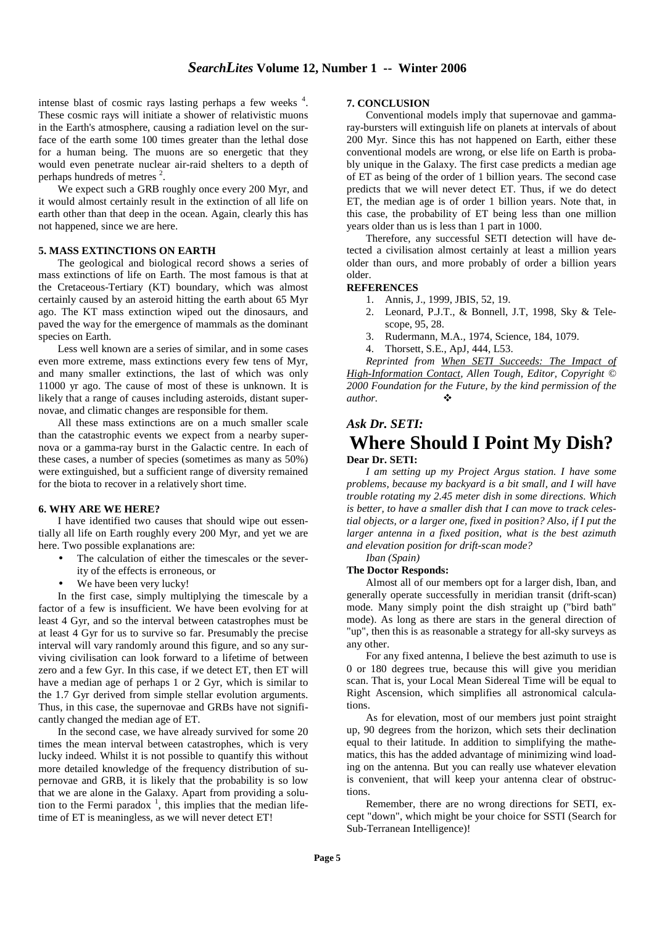intense blast of cosmic rays lasting perhaps a few weeks<sup>4</sup>. These cosmic rays will initiate a shower of relativistic muons in the Earth's atmosphere, causing a radiation level on the surface of the earth some 100 times greater than the lethal dose for a human being. The muons are so energetic that they would even penetrate nuclear air-raid shelters to a depth of perhaps hundreds of metres<sup>2</sup>.

We expect such a GRB roughly once every 200 Myr, and it would almost certainly result in the extinction of all life on earth other than that deep in the ocean. Again, clearly this has not happened, since we are here.

### **5. MASS EXTINCTIONS ON EARTH**

The geological and biological record shows a series of mass extinctions of life on Earth. The most famous is that at the Cretaceous-Tertiary (KT) boundary, which was almost certainly caused by an asteroid hitting the earth about 65 Myr ago. The KT mass extinction wiped out the dinosaurs, and paved the way for the emergence of mammals as the dominant species on Earth.

Less well known are a series of similar, and in some cases even more extreme, mass extinctions every few tens of Myr, and many smaller extinctions, the last of which was only 11000 yr ago. The cause of most of these is unknown. It is likely that a range of causes including asteroids, distant supernovae, and climatic changes are responsible for them.

All these mass extinctions are on a much smaller scale than the catastrophic events we expect from a nearby supernova or a gamma-ray burst in the Galactic centre. In each of these cases, a number of species (sometimes as many as 50%) were extinguished, but a sufficient range of diversity remained for the biota to recover in a relatively short time.

### **6. WHY ARE WE HERE?**

I have identified two causes that should wipe out essentially all life on Earth roughly every 200 Myr, and yet we are here. Two possible explanations are:

- The calculation of either the timescales or the severity of the effects is erroneous, or
- We have been very lucky!

In the first case, simply multiplying the timescale by a factor of a few is insufficient. We have been evolving for at least 4 Gyr, and so the interval between catastrophes must be at least 4 Gyr for us to survive so far. Presumably the precise interval will vary randomly around this figure, and so any surviving civilisation can look forward to a lifetime of between zero and a few Gyr. In this case, if we detect ET, then ET will have a median age of perhaps 1 or 2 Gyr, which is similar to the 1.7 Gyr derived from simple stellar evolution arguments. Thus, in this case, the supernovae and GRBs have not significantly changed the median age of ET.

In the second case, we have already survived for some 20 times the mean interval between catastrophes, which is very lucky indeed. Whilst it is not possible to quantify this without more detailed knowledge of the frequency distribution of supernovae and GRB, it is likely that the probability is so low that we are alone in the Galaxy. Apart from providing a solution to the Fermi paradox  $\frac{1}{1}$ , this implies that the median lifetime of ET is meaningless, as we will never detect ET!

### **7. CONCLUSION**

Conventional models imply that supernovae and gammaray-bursters will extinguish life on planets at intervals of about 200 Myr. Since this has not happened on Earth, either these conventional models are wrong, or else life on Earth is probably unique in the Galaxy. The first case predicts a median age of ET as being of the order of 1 billion years. The second case predicts that we will never detect ET. Thus, if we do detect ET, the median age is of order 1 billion years. Note that, in this case, the probability of ET being less than one million years older than us is less than 1 part in 1000.

Therefore, any successful SETI detection will have detected a civilisation almost certainly at least a million years older than ours, and more probably of order a billion years older.

### **REFERENCES**

- 1. Annis, J., 1999, JBIS, 52, 19.
- 2. Leonard, P.J.T., & Bonnell, J.T, 1998, Sky & Telescope, 95, 28.
- 3. Rudermann, M.A., 1974, Science, 184, 1079.
- 4. Thorsett, S.E., ApJ, 444, L53.

*Reprinted from When SETI Succeeds: The Impact of High-Information Contact, Allen Tough, Editor, Copyright © 2000 Foundation for the Future, by the kind permission of the author.* 

## *Ask Dr. SETI:*

### **Where Should I Point My Dish? Dear Dr. SETI:**

*I am setting up my Project Argus station. I have some problems, because my backyard is a bit small, and I will have trouble rotating my 2.45 meter dish in some directions. Which is better, to have a smaller dish that I can move to track celestial objects, or a larger one, fixed in position? Also, if I put the larger antenna in a fixed position, what is the best azimuth and elevation position for drift-scan mode?* 

### *Iban (Spain)*

### **The Doctor Responds:**

Almost all of our members opt for a larger dish, Iban, and generally operate successfully in meridian transit (drift-scan) mode. Many simply point the dish straight up ("bird bath" mode). As long as there are stars in the general direction of "up", then this is as reasonable a strategy for all-sky surveys as any other.

For any fixed antenna, I believe the best azimuth to use is 0 or 180 degrees true, because this will give you meridian scan. That is, your Local Mean Sidereal Time will be equal to Right Ascension, which simplifies all astronomical calculations.

As for elevation, most of our members just point straight up, 90 degrees from the horizon, which sets their declination equal to their latitude. In addition to simplifying the mathematics, this has the added advantage of minimizing wind loading on the antenna. But you can really use whatever elevation is convenient, that will keep your antenna clear of obstructions.

Remember, there are no wrong directions for SETI, except "down", which might be your choice for SSTI (Search for Sub-Terranean Intelligence)!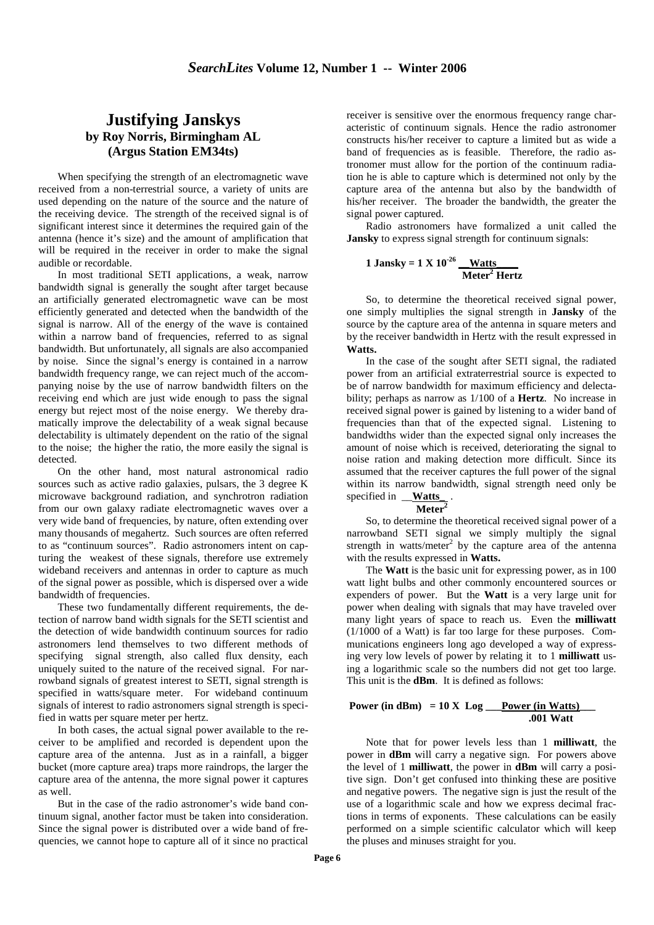### **Justifying Janskys by Roy Norris, Birmingham AL (Argus Station EM34ts)**

When specifying the strength of an electromagnetic wave received from a non-terrestrial source, a variety of units are used depending on the nature of the source and the nature of the receiving device. The strength of the received signal is of significant interest since it determines the required gain of the antenna (hence it's size) and the amount of amplification that will be required in the receiver in order to make the signal audible or recordable.

In most traditional SETI applications, a weak, narrow bandwidth signal is generally the sought after target because an artificially generated electromagnetic wave can be most efficiently generated and detected when the bandwidth of the signal is narrow. All of the energy of the wave is contained within a narrow band of frequencies, referred to as signal bandwidth. But unfortunately, all signals are also accompanied by noise. Since the signal's energy is contained in a narrow bandwidth frequency range, we can reject much of the accompanying noise by the use of narrow bandwidth filters on the receiving end which are just wide enough to pass the signal energy but reject most of the noise energy. We thereby dramatically improve the delectability of a weak signal because delectability is ultimately dependent on the ratio of the signal to the noise; the higher the ratio, the more easily the signal is detected.

On the other hand, most natural astronomical radio sources such as active radio galaxies, pulsars, the 3 degree K microwave background radiation, and synchrotron radiation from our own galaxy radiate electromagnetic waves over a very wide band of frequencies, by nature, often extending over many thousands of megahertz. Such sources are often referred to as "continuum sources". Radio astronomers intent on capturing the weakest of these signals, therefore use extremely wideband receivers and antennas in order to capture as much of the signal power as possible, which is dispersed over a wide bandwidth of frequencies.

These two fundamentally different requirements, the detection of narrow band width signals for the SETI scientist and the detection of wide bandwidth continuum sources for radio astronomers lend themselves to two different methods of specifying signal strength, also called flux density, each uniquely suited to the nature of the received signal. For narrowband signals of greatest interest to SETI, signal strength is specified in watts/square meter. For wideband continuum signals of interest to radio astronomers signal strength is specified in watts per square meter per hertz.

In both cases, the actual signal power available to the receiver to be amplified and recorded is dependent upon the capture area of the antenna. Just as in a rainfall, a bigger bucket (more capture area) traps more raindrops, the larger the capture area of the antenna, the more signal power it captures as well.

But in the case of the radio astronomer's wide band continuum signal, another factor must be taken into consideration. Since the signal power is distributed over a wide band of frequencies, we cannot hope to capture all of it since no practical receiver is sensitive over the enormous frequency range characteristic of continuum signals. Hence the radio astronomer constructs his/her receiver to capture a limited but as wide a band of frequencies as is feasible. Therefore, the radio astronomer must allow for the portion of the continuum radiation he is able to capture which is determined not only by the capture area of the antenna but also by the bandwidth of his/her receiver. The broader the bandwidth, the greater the signal power captured.

Radio astronomers have formalized a unit called the **Jansky** to express signal strength for continuum signals:

$$
1 \text{ Jansky} = 1 \text{ X } 10^{-26} \frac{\text{Watts}}{\text{Meter}^2 \text{ Hertz}}
$$

So, to determine the theoretical received signal power, one simply multiplies the signal strength in **Jansky** of the source by the capture area of the antenna in square meters and by the receiver bandwidth in Hertz with the result expressed in **Watts.**

In the case of the sought after SETI signal, the radiated power from an artificial extraterrestrial source is expected to be of narrow bandwidth for maximum efficiency and delectability; perhaps as narrow as 1/100 of a **Hertz**. No increase in received signal power is gained by listening to a wider band of frequencies than that of the expected signal. Listening to bandwidths wider than the expected signal only increases the amount of noise which is received, deteriorating the signal to noise ration and making detection more difficult. Since its assumed that the receiver captures the full power of the signal within its narrow bandwidth, signal strength need only be specified in \_\_**Watts\_** .

### **Meter<sup>2</sup>**

So, to determine the theoretical received signal power of a narrowband SETI signal we simply multiply the signal strength in watts/meter<sup>2</sup> by the capture area of the antenna with the results expressed in **Watts.** 

The **Watt** is the basic unit for expressing power, as in 100 watt light bulbs and other commonly encountered sources or expenders of power. But the **Watt** is a very large unit for power when dealing with signals that may have traveled over many light years of space to reach us. Even the **milliwatt** (1/1000 of a Watt) is far too large for these purposes. Communications engineers long ago developed a way of expressing very low levels of power by relating it to 1 **milliwatt** using a logarithmic scale so the numbers did not get too large. This unit is the **dBm**. It is defined as follows:

### **Power (in dBm)** =  $10 \text{ X}$  Log Power (in Watts)  **.001 Watt**

Note that for power levels less than 1 **milliwatt**, the power in **dBm** will carry a negative sign. For powers above the level of 1 **milliwatt**, the power in **dBm** will carry a positive sign. Don't get confused into thinking these are positive and negative powers. The negative sign is just the result of the use of a logarithmic scale and how we express decimal fractions in terms of exponents. These calculations can be easily performed on a simple scientific calculator which will keep the pluses and minuses straight for you.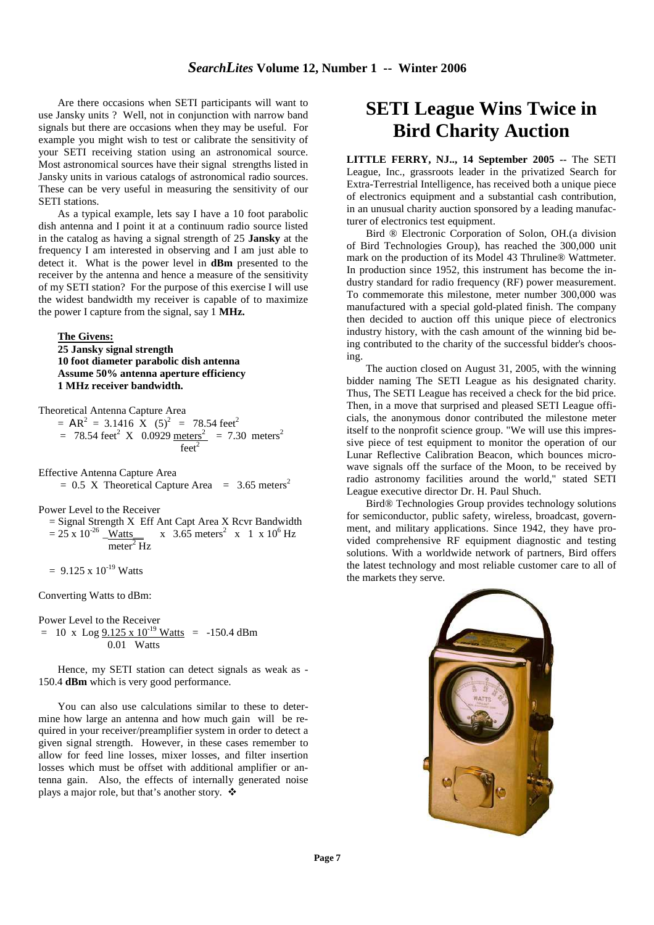Are there occasions when SETI participants will want to use Jansky units ? Well, not in conjunction with narrow band signals but there are occasions when they may be useful. For example you might wish to test or calibrate the sensitivity of your SETI receiving station using an astronomical source. Most astronomical sources have their signal strengths listed in Jansky units in various catalogs of astronomical radio sources. These can be very useful in measuring the sensitivity of our SETI stations.

As a typical example, lets say I have a 10 foot parabolic dish antenna and I point it at a continuum radio source listed in the catalog as having a signal strength of 25 **Jansky** at the frequency I am interested in observing and I am just able to detect it. What is the power level in **dBm** presented to the receiver by the antenna and hence a measure of the sensitivity of my SETI station? For the purpose of this exercise I will use the widest bandwidth my receiver is capable of to maximize the power I capture from the signal, say 1 **MHz.** 

**The Givens:**

**25 Jansky signal strength 10 foot diameter parabolic dish antenna Assume 50% antenna aperture efficiency 1 MHz receiver bandwidth.** 

Theoretical Antenna Capture Area

 $= AR^2 = 3.1416 \text{ X } (5)^2 = 78.54 \text{ feet}^2$  $= 78.54 \text{ feet}^2 \times 0.0929 \text{ meters}^2 = 7.30 \text{ meters}^2$  $\text{fect}^2$ 

Effective Antenna Capture Area

 $= 0.5$  X Theoretical Capture Area  $= 3.65$  meters<sup>2</sup>

Power Level to the Receiver

 $=$  Signal Strength X Eff Ant Capt Area X Rcvr Bandwidth  $= 25 \times 10^{-26}$  Watts  $= 3.65$  meters<sup>2</sup> x 1 x 10<sup>6</sup> Hz  $meter<sup>2</sup> Hz$ 

 $= 9.125 \times 10^{-19}$  Watts

Converting Watts to dBm:

Power Level to the Receiver  $= 10$  x Log  $\frac{9.125 \times 10^{-19} \text{ Watts}}{4.10^{19} \text{ Watts}}} = -150.4 \text{ dBm}$ 0.01 Watts

Hence, my SETI station can detect signals as weak as - 150.4 **dBm** which is very good performance.

You can also use calculations similar to these to determine how large an antenna and how much gain will be required in your receiver/preamplifier system in order to detect a given signal strength. However, in these cases remember to allow for feed line losses, mixer losses, and filter insertion losses which must be offset with additional amplifier or antenna gain. Also, the effects of internally generated noise plays a major role, but that's another story.  $\triangleleft$ 

## **SETI League Wins Twice in Bird Charity Auction**

**LITTLE FERRY, NJ.., 14 September 2005 --** The SETI League, Inc., grassroots leader in the privatized Search for Extra-Terrestrial Intelligence, has received both a unique piece of electronics equipment and a substantial cash contribution, in an unusual charity auction sponsored by a leading manufacturer of electronics test equipment.

Bird ® Electronic Corporation of Solon, OH.(a division of Bird Technologies Group), has reached the 300,000 unit mark on the production of its Model 43 Thruline® Wattmeter. In production since 1952, this instrument has become the industry standard for radio frequency (RF) power measurement. To commemorate this milestone, meter number 300,000 was manufactured with a special gold-plated finish. The company then decided to auction off this unique piece of electronics industry history, with the cash amount of the winning bid being contributed to the charity of the successful bidder's choosing.

The auction closed on August 31, 2005, with the winning bidder naming The SETI League as his designated charity. Thus, The SETI League has received a check for the bid price. Then, in a move that surprised and pleased SETI League officials, the anonymous donor contributed the milestone meter itself to the nonprofit science group. "We will use this impressive piece of test equipment to monitor the operation of our Lunar Reflective Calibration Beacon, which bounces microwave signals off the surface of the Moon, to be received by radio astronomy facilities around the world," stated SETI League executive director Dr. H. Paul Shuch.

Bird® Technologies Group provides technology solutions for semiconductor, public safety, wireless, broadcast, government, and military applications. Since 1942, they have provided comprehensive RF equipment diagnostic and testing solutions. With a worldwide network of partners, Bird offers the latest technology and most reliable customer care to all of the markets they serve.